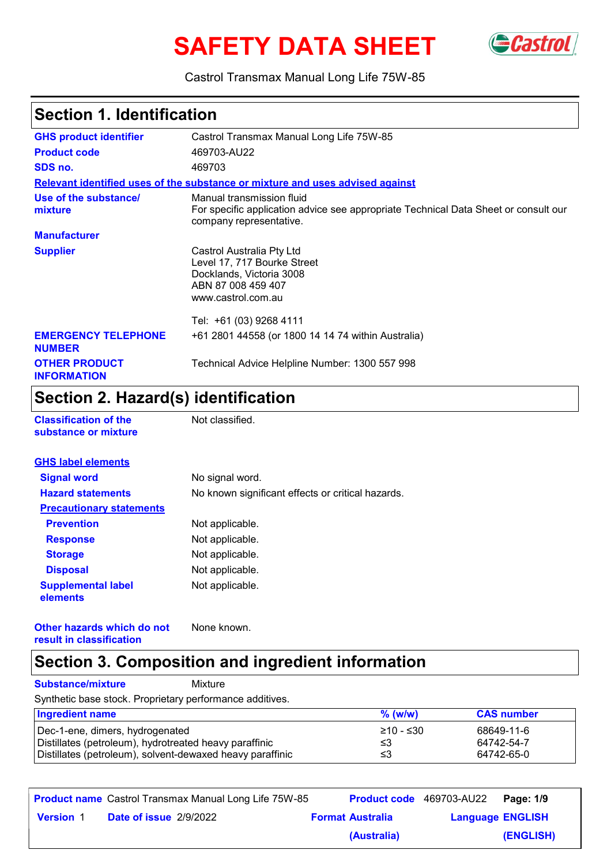# SAFETY DATA SHEET GCastrol



Castrol Transmax Manual Long Life 75W-85

### **Section 1. Identification**

| <b>GHS product identifier</b>               | Castrol Transmax Manual Long Life 75W-85                                                                                                    |
|---------------------------------------------|---------------------------------------------------------------------------------------------------------------------------------------------|
| <b>Product code</b>                         | 469703-AU22                                                                                                                                 |
| SDS no.                                     | 469703                                                                                                                                      |
|                                             | Relevant identified uses of the substance or mixture and uses advised against                                                               |
| Use of the substance/<br>mixture            | Manual transmission fluid<br>For specific application advice see appropriate Technical Data Sheet or consult our<br>company representative. |
| <b>Manufacturer</b>                         |                                                                                                                                             |
| <b>Supplier</b>                             | Castrol Australia Pty Ltd<br>Level 17, 717 Bourke Street<br>Docklands, Victoria 3008<br>ABN 87 008 459 407<br>www.castrol.com.au            |
|                                             | Tel: +61 (03) 9268 4111                                                                                                                     |
| <b>EMERGENCY TELEPHONE</b><br><b>NUMBER</b> | +61 2801 44558 (or 1800 14 14 74 within Australia)                                                                                          |
| <b>OTHER PRODUCT</b><br><b>INFORMATION</b>  | Technical Advice Helpline Number: 1300 557 998                                                                                              |

### **Section 2. Hazard(s) identification**

**Classification of the Mot classified. substance or mixture**

| <b>GHS label elements</b>             |                                                   |
|---------------------------------------|---------------------------------------------------|
| <b>Signal word</b>                    | No signal word.                                   |
| <b>Hazard statements</b>              | No known significant effects or critical hazards. |
| <b>Precautionary statements</b>       |                                                   |
| <b>Prevention</b>                     | Not applicable.                                   |
| <b>Response</b>                       | Not applicable.                                   |
| <b>Storage</b>                        | Not applicable.                                   |
| <b>Disposal</b>                       | Not applicable.                                   |
| <b>Supplemental label</b><br>elements | Not applicable.                                   |

**Other hazards which do not result in classification** None known.

### **Section 3. Composition and ingredient information**

**Substance/mixture** Mixture

Synthetic base stock. Proprietary performance additives.

| <b>Ingredient name</b>                                                                                              | $%$ (w/w) | <b>CAS number</b>        |
|---------------------------------------------------------------------------------------------------------------------|-----------|--------------------------|
| Dec-1-ene, dimers, hydrogenated                                                                                     | 210 - ≤30 | 68649-11-6               |
| Distillates (petroleum), hydrotreated heavy paraffinic<br>Distillates (petroleum), solvent-dewaxed heavy paraffinic | ב≥<br>≤3  | 64742-54-7<br>64742-65-0 |

|                  |                        | <b>Product name</b> Castrol Transmax Manual Long Life 75W-85 |                         | Product code 469703-AU22 | <b>Page: 1/9</b> |
|------------------|------------------------|--------------------------------------------------------------|-------------------------|--------------------------|------------------|
| <b>Version 1</b> | Date of issue 2/9/2022 |                                                              | <b>Format Australia</b> | <b>Language ENGLISH</b>  |                  |
|                  |                        |                                                              | (Australia)             |                          | (ENGLISH)        |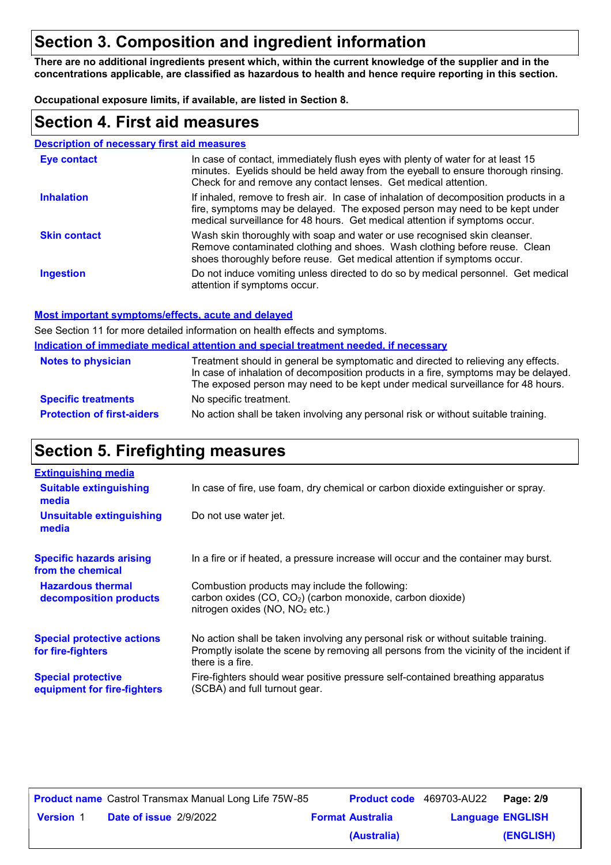### **Section 3. Composition and ingredient information**

**There are no additional ingredients present which, within the current knowledge of the supplier and in the concentrations applicable, are classified as hazardous to health and hence require reporting in this section.**

**Occupational exposure limits, if available, are listed in Section 8.**

### **Section 4. First aid measures**

| <b>Description of necessary first aid measures</b> |                                                                                                                                                                                                                                                     |
|----------------------------------------------------|-----------------------------------------------------------------------------------------------------------------------------------------------------------------------------------------------------------------------------------------------------|
| <b>Eye contact</b>                                 | In case of contact, immediately flush eyes with plenty of water for at least 15<br>minutes. Eyelids should be held away from the eyeball to ensure thorough rinsing.<br>Check for and remove any contact lenses. Get medical attention.             |
| <b>Inhalation</b>                                  | If inhaled, remove to fresh air. In case of inhalation of decomposition products in a<br>fire, symptoms may be delayed. The exposed person may need to be kept under<br>medical surveillance for 48 hours. Get medical attention if symptoms occur. |
| <b>Skin contact</b>                                | Wash skin thoroughly with soap and water or use recognised skin cleanser.<br>Remove contaminated clothing and shoes. Wash clothing before reuse. Clean<br>shoes thoroughly before reuse. Get medical attention if symptoms occur.                   |
| <b>Ingestion</b>                                   | Do not induce vomiting unless directed to do so by medical personnel. Get medical<br>attention if symptoms occur.                                                                                                                                   |

#### **Most important symptoms/effects, acute and delayed**

**Indication of immediate medical attention and special treatment needed, if necessary** See Section 11 for more detailed information on health effects and symptoms.

| <b>Notes to physician</b>         | <u>Madalah di Milibarata Madidal attorition dira opodidi trodhibiit Moododi, Miloodoodi 1</u><br>Treatment should in general be symptomatic and directed to relieving any effects.<br>In case of inhalation of decomposition products in a fire, symptoms may be delayed.<br>The exposed person may need to be kept under medical surveillance for 48 hours. |
|-----------------------------------|--------------------------------------------------------------------------------------------------------------------------------------------------------------------------------------------------------------------------------------------------------------------------------------------------------------------------------------------------------------|
| <b>Specific treatments</b>        | No specific treatment.                                                                                                                                                                                                                                                                                                                                       |
| <b>Protection of first-aiders</b> | No action shall be taken involving any personal risk or without suitable training.                                                                                                                                                                                                                                                                           |

### **Section 5. Firefighting measures**

| <b>Extinguishing media</b>                               |                                                                                                                                                                                                   |
|----------------------------------------------------------|---------------------------------------------------------------------------------------------------------------------------------------------------------------------------------------------------|
| <b>Suitable extinguishing</b><br>media                   | In case of fire, use foam, dry chemical or carbon dioxide extinguisher or spray.                                                                                                                  |
| <b>Unsuitable extinguishing</b><br>media                 | Do not use water jet.                                                                                                                                                                             |
| <b>Specific hazards arising</b><br>from the chemical     | In a fire or if heated, a pressure increase will occur and the container may burst.                                                                                                               |
| <b>Hazardous thermal</b><br>decomposition products       | Combustion products may include the following:<br>carbon oxides (CO, CO <sub>2</sub> ) (carbon monoxide, carbon dioxide)<br>nitrogen oxides (NO, NO <sub>2</sub> etc.)                            |
| <b>Special protective actions</b><br>for fire-fighters   | No action shall be taken involving any personal risk or without suitable training.<br>Promptly isolate the scene by removing all persons from the vicinity of the incident if<br>there is a fire. |
| <b>Special protective</b><br>equipment for fire-fighters | Fire-fighters should wear positive pressure self-contained breathing apparatus<br>(SCBA) and full turnout gear.                                                                                   |

|                  | <b>Product name</b> Castrol Transmax Manual Long Life 75W-85 |                         | <b>Product code</b> 469703-AU22   Page: 2/9 |           |
|------------------|--------------------------------------------------------------|-------------------------|---------------------------------------------|-----------|
| <b>Version 1</b> | <b>Date of issue 2/9/2022</b>                                | <b>Format Australia</b> | <b>Language ENGLISH</b>                     |           |
|                  |                                                              | (Australia)             |                                             | (ENGLISH) |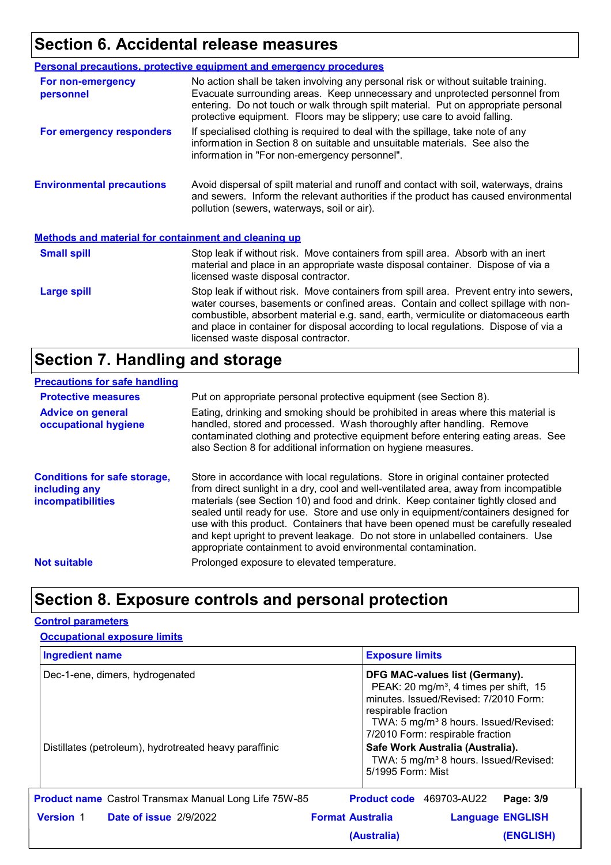### **Section 6. Accidental release measures**

|                                                             | <b>Personal precautions, protective equipment and emergency procedures</b>                                                                                                                                                                                                                                                                                                                         |
|-------------------------------------------------------------|----------------------------------------------------------------------------------------------------------------------------------------------------------------------------------------------------------------------------------------------------------------------------------------------------------------------------------------------------------------------------------------------------|
| For non-emergency<br>personnel                              | No action shall be taken involving any personal risk or without suitable training.<br>Evacuate surrounding areas. Keep unnecessary and unprotected personnel from<br>entering. Do not touch or walk through spilt material. Put on appropriate personal<br>protective equipment. Floors may be slippery; use care to avoid falling.                                                                |
| For emergency responders                                    | If specialised clothing is required to deal with the spillage, take note of any<br>information in Section 8 on suitable and unsuitable materials. See also the<br>information in "For non-emergency personnel".                                                                                                                                                                                    |
| <b>Environmental precautions</b>                            | Avoid dispersal of spilt material and runoff and contact with soil, waterways, drains<br>and sewers. Inform the relevant authorities if the product has caused environmental<br>pollution (sewers, waterways, soil or air).                                                                                                                                                                        |
| <b>Methods and material for containment and cleaning up</b> |                                                                                                                                                                                                                                                                                                                                                                                                    |
| <b>Small spill</b>                                          | Stop leak if without risk. Move containers from spill area. Absorb with an inert<br>material and place in an appropriate waste disposal container. Dispose of via a<br>licensed waste disposal contractor.                                                                                                                                                                                         |
| <b>Large spill</b>                                          | Stop leak if without risk. Move containers from spill area. Prevent entry into sewers,<br>water courses, basements or confined areas. Contain and collect spillage with non-<br>combustible, absorbent material e.g. sand, earth, vermiculite or diatomaceous earth<br>and place in container for disposal according to local regulations. Dispose of via a<br>licensed waste disposal contractor. |

### **Section 7. Handling and storage**

#### **Precautions for safe handling**

| <b>Protective measures</b>                                                       | Put on appropriate personal protective equipment (see Section 8).                                                                                                                                                                                                                                                                                                                                                                                                                                                                                                                              |
|----------------------------------------------------------------------------------|------------------------------------------------------------------------------------------------------------------------------------------------------------------------------------------------------------------------------------------------------------------------------------------------------------------------------------------------------------------------------------------------------------------------------------------------------------------------------------------------------------------------------------------------------------------------------------------------|
| <b>Advice on general</b><br>occupational hygiene                                 | Eating, drinking and smoking should be prohibited in areas where this material is<br>handled, stored and processed. Wash thoroughly after handling. Remove<br>contaminated clothing and protective equipment before entering eating areas. See<br>also Section 8 for additional information on hygiene measures.                                                                                                                                                                                                                                                                               |
| <b>Conditions for safe storage,</b><br>including any<br><b>incompatibilities</b> | Store in accordance with local regulations. Store in original container protected<br>from direct sunlight in a dry, cool and well-ventilated area, away from incompatible<br>materials (see Section 10) and food and drink. Keep container tightly closed and<br>sealed until ready for use. Store and use only in equipment/containers designed for<br>use with this product. Containers that have been opened must be carefully resealed<br>and kept upright to prevent leakage. Do not store in unlabelled containers. Use<br>appropriate containment to avoid environmental contamination. |
| <b>Not suitable</b>                                                              | Prolonged exposure to elevated temperature.                                                                                                                                                                                                                                                                                                                                                                                                                                                                                                                                                    |

### **Section 8. Exposure controls and personal protection**

#### **Control parameters**

| <b>Occupational exposure limits</b> |  |  |  |  |
|-------------------------------------|--|--|--|--|
|-------------------------------------|--|--|--|--|

| <b>Ingredient name</b>                                       | <b>Exposure limits</b>                                                                                                                                                                                                                        |  |
|--------------------------------------------------------------|-----------------------------------------------------------------------------------------------------------------------------------------------------------------------------------------------------------------------------------------------|--|
| Dec-1-ene, dimers, hydrogenated                              | DFG MAC-values list (Germany).<br>PEAK: 20 mg/m <sup>3</sup> , 4 times per shift, 15<br>minutes. Issued/Revised: 7/2010 Form:<br>respirable fraction<br>TWA: 5 mg/m <sup>3</sup> 8 hours. Issued/Revised:<br>7/2010 Form: respirable fraction |  |
| Distillates (petroleum), hydrotreated heavy paraffinic       | Safe Work Australia (Australia).<br>TWA: 5 mg/m <sup>3</sup> 8 hours. Issued/Revised:<br>5/1995 Form: Mist                                                                                                                                    |  |
| <b>Product name</b> Castrol Transmax Manual Long Life 75W-85 | Product code 469703-AU22<br>Page: 3/9                                                                                                                                                                                                         |  |
| <b>Date of issue 2/9/2022</b><br><b>Version 1</b>            | <b>Format Australia</b><br><b>Language ENGLISH</b>                                                                                                                                                                                            |  |
|                                                              | (Australia)<br><b>(ENGLISH)</b>                                                                                                                                                                                                               |  |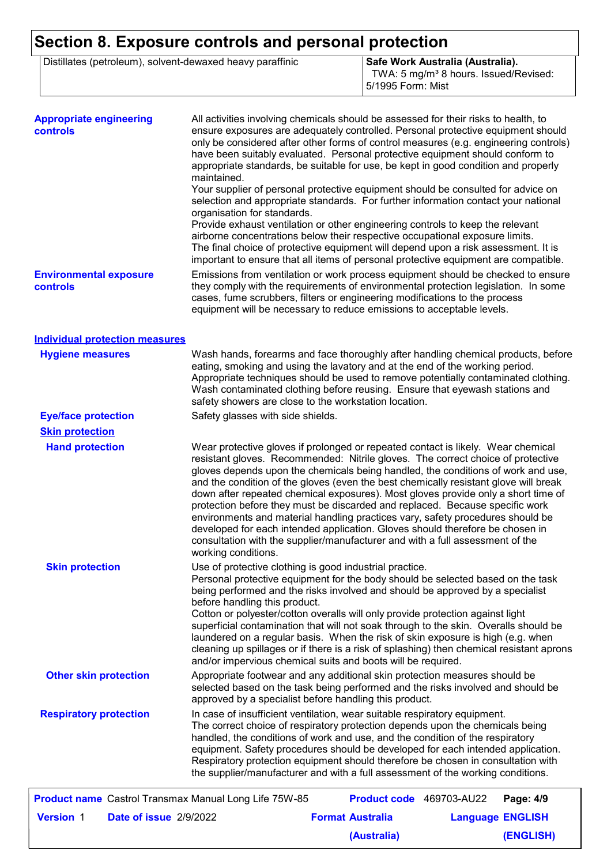### **Section 8. Exposure controls and personal protection**

Distillates (petroleum), solvent-dewaxed heavy paraffinic **Safe Work Australia (Australia).** 

TWA: 5 mg/m<sup>3</sup> 8 hours. Issued/Revised: 5/1995 Form: Mist

**(ENGLISH)**

| <b>Appropriate engineering</b><br>controls                   | All activities involving chemicals should be assessed for their risks to health, to<br>ensure exposures are adequately controlled. Personal protective equipment should<br>only be considered after other forms of control measures (e.g. engineering controls)<br>have been suitably evaluated. Personal protective equipment should conform to<br>appropriate standards, be suitable for use, be kept in good condition and properly<br>maintained.                                                                                                                                                                                                                                                                                                                                           |
|--------------------------------------------------------------|-------------------------------------------------------------------------------------------------------------------------------------------------------------------------------------------------------------------------------------------------------------------------------------------------------------------------------------------------------------------------------------------------------------------------------------------------------------------------------------------------------------------------------------------------------------------------------------------------------------------------------------------------------------------------------------------------------------------------------------------------------------------------------------------------|
|                                                              | Your supplier of personal protective equipment should be consulted for advice on<br>selection and appropriate standards. For further information contact your national<br>organisation for standards.<br>Provide exhaust ventilation or other engineering controls to keep the relevant<br>airborne concentrations below their respective occupational exposure limits.<br>The final choice of protective equipment will depend upon a risk assessment. It is<br>important to ensure that all items of personal protective equipment are compatible.                                                                                                                                                                                                                                            |
| <b>Environmental exposure</b><br>controls                    | Emissions from ventilation or work process equipment should be checked to ensure<br>they comply with the requirements of environmental protection legislation. In some<br>cases, fume scrubbers, filters or engineering modifications to the process<br>equipment will be necessary to reduce emissions to acceptable levels.                                                                                                                                                                                                                                                                                                                                                                                                                                                                   |
| <b>Individual protection measures</b>                        |                                                                                                                                                                                                                                                                                                                                                                                                                                                                                                                                                                                                                                                                                                                                                                                                 |
| <b>Hygiene measures</b>                                      | Wash hands, forearms and face thoroughly after handling chemical products, before<br>eating, smoking and using the lavatory and at the end of the working period.<br>Appropriate techniques should be used to remove potentially contaminated clothing.<br>Wash contaminated clothing before reusing. Ensure that eyewash stations and<br>safety showers are close to the workstation location.                                                                                                                                                                                                                                                                                                                                                                                                 |
| <b>Eye/face protection</b>                                   | Safety glasses with side shields.                                                                                                                                                                                                                                                                                                                                                                                                                                                                                                                                                                                                                                                                                                                                                               |
| <b>Skin protection</b>                                       |                                                                                                                                                                                                                                                                                                                                                                                                                                                                                                                                                                                                                                                                                                                                                                                                 |
| <b>Hand protection</b>                                       | Wear protective gloves if prolonged or repeated contact is likely. Wear chemical<br>resistant gloves. Recommended: Nitrile gloves. The correct choice of protective<br>gloves depends upon the chemicals being handled, the conditions of work and use,<br>and the condition of the gloves (even the best chemically resistant glove will break<br>down after repeated chemical exposures). Most gloves provide only a short time of<br>protection before they must be discarded and replaced. Because specific work<br>environments and material handling practices vary, safety procedures should be<br>developed for each intended application. Gloves should therefore be chosen in<br>consultation with the supplier/manufacturer and with a full assessment of the<br>working conditions. |
| <b>Skin protection</b>                                       | Use of protective clothing is good industrial practice.<br>Personal protective equipment for the body should be selected based on the task<br>being performed and the risks involved and should be approved by a specialist<br>before handling this product.<br>Cotton or polyester/cotton overalls will only provide protection against light<br>superficial contamination that will not soak through to the skin. Overalls should be<br>laundered on a regular basis. When the risk of skin exposure is high (e.g. when<br>cleaning up spillages or if there is a risk of splashing) then chemical resistant aprons<br>and/or impervious chemical suits and boots will be required.                                                                                                           |
| <b>Other skin protection</b>                                 | Appropriate footwear and any additional skin protection measures should be<br>selected based on the task being performed and the risks involved and should be<br>approved by a specialist before handling this product.                                                                                                                                                                                                                                                                                                                                                                                                                                                                                                                                                                         |
| <b>Respiratory protection</b>                                | In case of insufficient ventilation, wear suitable respiratory equipment.<br>The correct choice of respiratory protection depends upon the chemicals being<br>handled, the conditions of work and use, and the condition of the respiratory<br>equipment. Safety procedures should be developed for each intended application.<br>Respiratory protection equipment should therefore be chosen in consultation with<br>the supplier/manufacturer and with a full assessment of the working conditions.                                                                                                                                                                                                                                                                                           |
| <b>Product name</b> Castrol Transmax Manual Long Life 75W-85 | Product code 469703-AU22<br>Page: 4/9                                                                                                                                                                                                                                                                                                                                                                                                                                                                                                                                                                                                                                                                                                                                                           |
|                                                              |                                                                                                                                                                                                                                                                                                                                                                                                                                                                                                                                                                                                                                                                                                                                                                                                 |
| <b>Version 1</b><br>Date of issue 2/9/2022                   | <b>Format Australia</b><br><b>Language ENGLISH</b>                                                                                                                                                                                                                                                                                                                                                                                                                                                                                                                                                                                                                                                                                                                                              |

**(Australia)**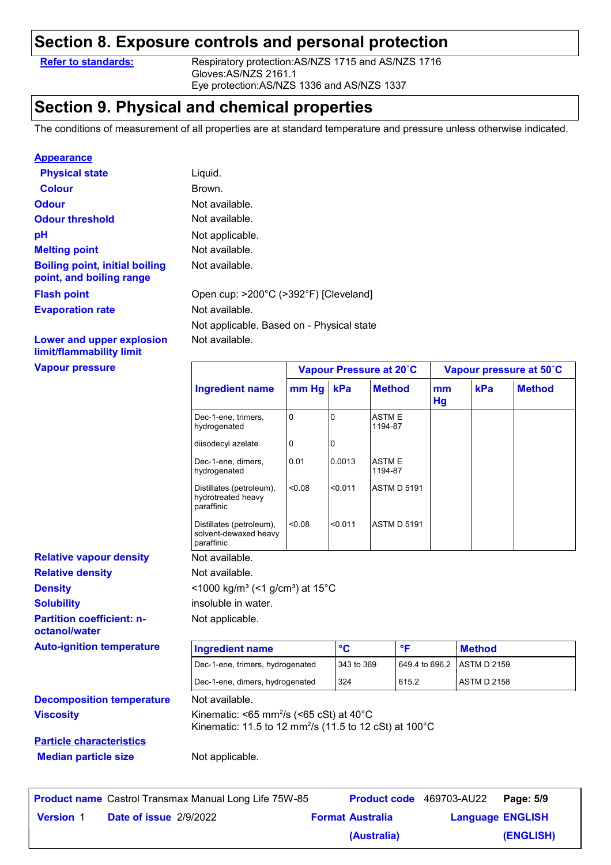### **Section 8. Exposure controls and personal protection**

**Refer to standards:** Respiratory protection:AS/NZS 1715 and AS/NZS 1716 Gloves:AS/NZS 2161.1 Eye protection:AS/NZS 1336 and AS/NZS 1337

### **Section 9. Physical and chemical properties**

The conditions of measurement of all properties are at standard temperature and pressure unless otherwise indicated.

#### **Appearance**

| <b>Physical state</b>                                             | Liquid.                                   |
|-------------------------------------------------------------------|-------------------------------------------|
| <b>Colour</b>                                                     | Brown.                                    |
| <b>Odour</b>                                                      | Not available.                            |
| <b>Odour threshold</b>                                            | Not available.                            |
| рH                                                                | Not applicable.                           |
| <b>Melting point</b>                                              | Not available.                            |
| <b>Boiling point, initial boiling</b><br>point, and boiling range | Not available.                            |
| <b>Flash point</b>                                                | Open cup: >200°C (>392°F) [Cleveland]     |
| <b>Evaporation rate</b>                                           | Not available.                            |
|                                                                   | Not applicable. Based on - Physical state |
| Lower and upper explosion                                         | Not available.                            |

### **Lower and upper explosion limit/flammability limit**

| <b>Vapour pressure</b> |  |
|------------------------|--|
|------------------------|--|

|                                                              | <b>Ingredient name</b>                                                                                                               | mm Hg | kPa            | <b>Method</b>            | mm<br>Hg | kPa                | <b>Method</b> |
|--------------------------------------------------------------|--------------------------------------------------------------------------------------------------------------------------------------|-------|----------------|--------------------------|----------|--------------------|---------------|
|                                                              | Dec-1-ene, trimers,<br>hydrogenated                                                                                                  | 0     | $\overline{0}$ | <b>ASTME</b><br>1194-87  |          |                    |               |
|                                                              | diisodecyl azelate                                                                                                                   | 0     | 0              |                          |          |                    |               |
|                                                              | Dec-1-ene, dimers,<br>hydrogenated                                                                                                   | 0.01  | 0.0013         | <b>ASTME</b><br>1194-87  |          |                    |               |
|                                                              | Distillates (petroleum),<br>hydrotreated heavy<br>paraffinic                                                                         | 0.08  | < 0.011        | <b>ASTM D 5191</b>       |          |                    |               |
|                                                              | Distillates (petroleum),<br>solvent-dewaxed heavy<br>paraffinic                                                                      | 80.08 | < 0.011        | <b>ASTM D 5191</b>       |          |                    |               |
| <b>Relative vapour density</b>                               | Not available.                                                                                                                       |       |                |                          |          |                    |               |
| <b>Relative density</b>                                      | Not available.                                                                                                                       |       |                |                          |          |                    |               |
| <b>Density</b>                                               | <1000 kg/m <sup>3</sup> (<1 g/cm <sup>3</sup> ) at 15°C                                                                              |       |                |                          |          |                    |               |
| <b>Solubility</b>                                            | insoluble in water.                                                                                                                  |       |                |                          |          |                    |               |
| <b>Partition coefficient: n-</b><br>octanol/water            | Not applicable.                                                                                                                      |       |                |                          |          |                    |               |
| <b>Auto-ignition temperature</b>                             | <b>Ingredient name</b>                                                                                                               |       | $\circ$ C      | $\mathsf{P}$             |          | <b>Method</b>      |               |
|                                                              | Dec-1-ene, trimers, hydrogenated                                                                                                     |       | 343 to 369     | 649.4 to 696.2           |          | <b>ASTM D 2159</b> |               |
|                                                              | Dec-1-ene, dimers, hydrogenated                                                                                                      |       | 324            | 615.2                    |          | <b>ASTM D 2158</b> |               |
| <b>Decomposition temperature</b>                             | Not available.                                                                                                                       |       |                |                          |          |                    |               |
| <b>Viscosity</b>                                             | Kinematic: <65 mm <sup>2</sup> /s (<65 cSt) at 40 $^{\circ}$ C<br>Kinematic: 11.5 to 12 mm <sup>2</sup> /s (11.5 to 12 cSt) at 100°C |       |                |                          |          |                    |               |
| <b>Particle characteristics</b>                              |                                                                                                                                      |       |                |                          |          |                    |               |
| <b>Median particle size</b>                                  | Not applicable.                                                                                                                      |       |                |                          |          |                    |               |
|                                                              |                                                                                                                                      |       |                |                          |          |                    |               |
| <b>Product name</b> Castrol Transmax Manual Long Life 75W-85 |                                                                                                                                      |       |                | Product code 469703-AU22 |          |                    | Page: 5/9     |

**Date of issue Version** 1 **Format Australia Language** 2/9/2022

**(Australia)**

**Vapour Pressure at 20˚C Vapour pressure at 50˚C**

**Language ENGLISH** 

**(ENGLISH)**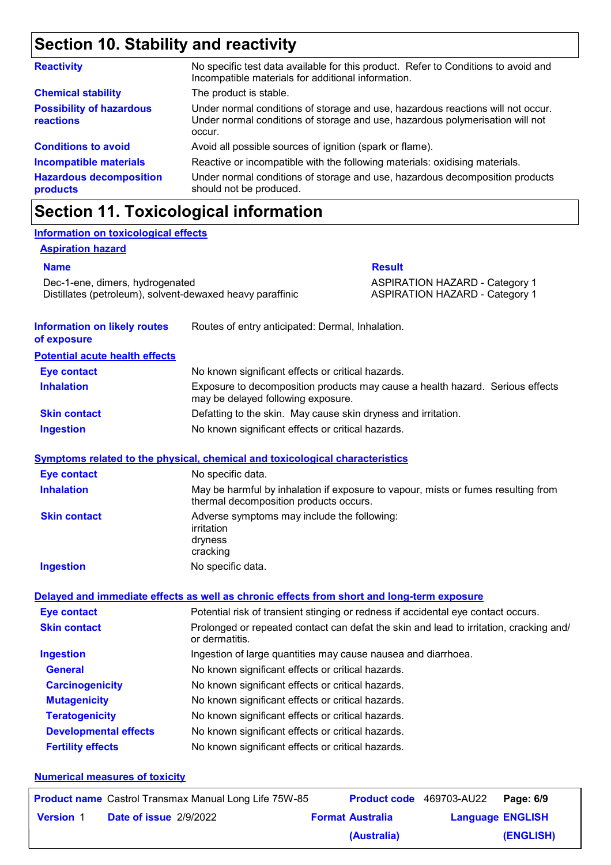### **Section 10. Stability and reactivity**

| <b>Reactivity</b>                                   | No specific test data available for this product. Refer to Conditions to avoid and<br>Incompatible materials for additional information.                                   |
|-----------------------------------------------------|----------------------------------------------------------------------------------------------------------------------------------------------------------------------------|
| <b>Chemical stability</b>                           | The product is stable.                                                                                                                                                     |
| <b>Possibility of hazardous</b><br><b>reactions</b> | Under normal conditions of storage and use, hazardous reactions will not occur.<br>Under normal conditions of storage and use, hazardous polymerisation will not<br>occur. |
| <b>Conditions to avoid</b>                          | Avoid all possible sources of ignition (spark or flame).                                                                                                                   |
| <b>Incompatible materials</b>                       | Reactive or incompatible with the following materials: oxidising materials.                                                                                                |
| <b>Hazardous decomposition</b><br>products          | Under normal conditions of storage and use, hazardous decomposition products<br>should not be produced.                                                                    |

### **Section 11. Toxicological information**

#### **Information on toxicological effects**

#### **Aspiration hazard**

#### **Name Result**

Dec-1-ene, dimers, hydrogenated ASPIRATION HAZARD - Category 1 Distillates (petroleum), solvent-dewaxed heavy paraffinic ASPIRATION HAZARD - Category 1

| <b>Information on likely routes</b><br>of exposure | Routes of entry anticipated: Dermal, Inhalation.                                                                            |
|----------------------------------------------------|-----------------------------------------------------------------------------------------------------------------------------|
| <b>Potential acute health effects</b>              |                                                                                                                             |
| <b>Eye contact</b>                                 | No known significant effects or critical hazards.                                                                           |
| <b>Inhalation</b>                                  | Exposure to decomposition products may cause a health hazard. Serious effects<br>may be delayed following exposure.         |
| <b>Skin contact</b>                                | Defatting to the skin. May cause skin dryness and irritation.                                                               |
| <b>Ingestion</b>                                   | No known significant effects or critical hazards.                                                                           |
|                                                    | Symptoms related to the physical, chemical and toxicological characteristics                                                |
| <b>Eye contact</b>                                 | No specific data.                                                                                                           |
| <b>Inhalation</b>                                  | May be harmful by inhalation if exposure to vapour, mists or fumes resulting from<br>thermal decomposition products occurs. |
| <b>Skin contact</b>                                | Adverse symptoms may include the following:<br>irritation<br>dryness<br>cracking                                            |
| <b>Ingestion</b>                                   | No specific data.                                                                                                           |
|                                                    | Delayed and immediate effects as well as chronic effects from short and long-term exposure                                  |
| <b>Eye contact</b>                                 | Potential risk of transient stinging or redness if accidental eye contact occurs.                                           |
| <b>Skin contact</b>                                | Prolonged or repeated contact can defat the skin and lead to irritation, cracking and/<br>or dermatitis.                    |
| <b>Ingestion</b>                                   | Ingestion of large quantities may cause nausea and diarrhoea.                                                               |
| <b>General</b>                                     | No known significant effects or critical hazards.                                                                           |
| <b>Carcinogenicity</b>                             | No known significant effects or critical hazards.                                                                           |
| <b>Mutagenicity</b>                                | No known significant effects or critical hazards.                                                                           |
| <b>Teratogenicity</b>                              | No known significant effects or critical hazards.                                                                           |
| <b>Developmental effects</b>                       | No known significant effects or critical hazards.                                                                           |
| <b>Fertility effects</b>                           | No known significant effects or critical hazards.                                                                           |

#### **Numerical measures of toxicity**

|                  | <b>Product name</b> Castrol Transmax Manual Long Life 75W-85 | Product code 469703-AU22 |                         | Page: 6/9 |
|------------------|--------------------------------------------------------------|--------------------------|-------------------------|-----------|
| <b>Version 1</b> | <b>Date of issue 2/9/2022</b>                                | <b>Format Australia</b>  | <b>Language ENGLISH</b> |           |
|                  |                                                              | (Australia)              |                         | (ENGLISH) |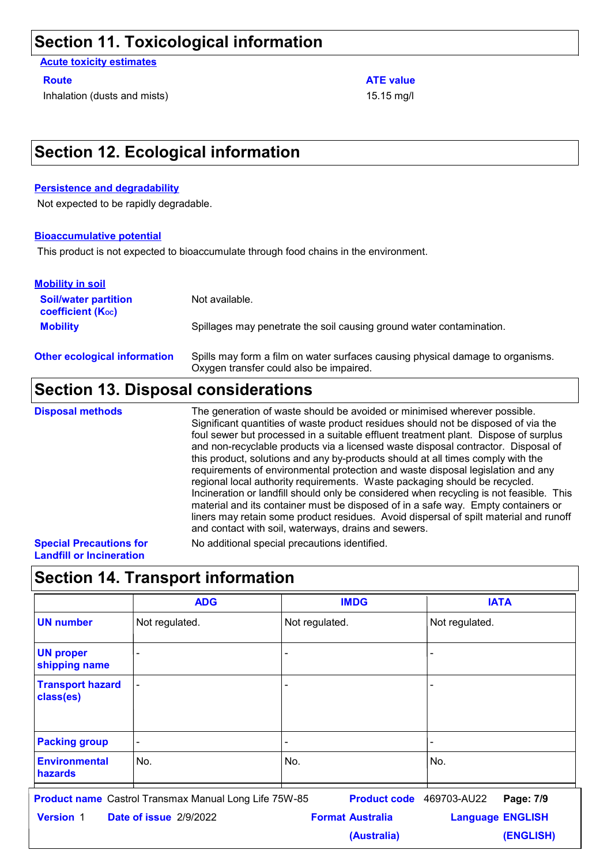### **Section 11. Toxicological information**

**Acute toxicity estimates**

Inhalation (dusts and mists) 15.15 mg/l

#### **Route ATE value ATE value**

### **Section 12. Ecological information**

#### **Persistence and degradability**

Not expected to be rapidly degradable.

#### **Bioaccumulative potential**

This product is not expected to bioaccumulate through food chains in the environment.

| <b>Mobility in soil</b>                                 |                                                                                                                           |
|---------------------------------------------------------|---------------------------------------------------------------------------------------------------------------------------|
| <b>Soil/water partition</b><br><b>coefficient (Koc)</b> | Not available.                                                                                                            |
| <b>Mobility</b>                                         | Spillages may penetrate the soil causing ground water contamination.                                                      |
| <b>Other ecological information</b>                     | Spills may form a film on water surfaces causing physical damage to organisms.<br>Oxygen transfer could also be impaired. |

### **Section 13. Disposal considerations**

The generation of waste should be avoided or minimised wherever possible. Significant quantities of waste product residues should not be disposed of via the foul sewer but processed in a suitable effluent treatment plant. Dispose of surplus and non-recyclable products via a licensed waste disposal contractor. Disposal of this product, solutions and any by-products should at all times comply with the requirements of environmental protection and waste disposal legislation and any regional local authority requirements. Waste packaging should be recycled. Incineration or landfill should only be considered when recycling is not feasible. This material and its container must be disposed of in a safe way. Empty containers or liners may retain some product residues. Avoid dispersal of spilt material and runoff and contact with soil, waterways, drains and sewers. **Disposal methods** No additional special precautions identified.

#### **Special Precautions for Landfill or Incineration**

### **Section 14. Transport information**

|                                        | <b>ADG</b>                                                                             | <b>IMDG</b>                                         | <b>IATA</b>                          |
|----------------------------------------|----------------------------------------------------------------------------------------|-----------------------------------------------------|--------------------------------------|
| <b>UN number</b>                       | Not regulated.                                                                         | Not regulated.                                      | Not regulated.                       |
| <b>UN proper</b><br>shipping name      | ۰                                                                                      | $\overline{\phantom{0}}$                            | $\blacksquare$                       |
| <b>Transport hazard</b><br>class(es)   | ÷,                                                                                     |                                                     | $\blacksquare$                       |
| <b>Packing group</b>                   | -                                                                                      |                                                     |                                      |
| <b>Environmental</b><br><b>hazards</b> | No.                                                                                    | No.                                                 | No.                                  |
| <b>Version 1</b>                       | <b>Product name</b> Castrol Transmax Manual Long Life 75W-85<br>Date of issue 2/9/2022 | Product code 469703-AU22<br><b>Format Australia</b> | Page: 7/9<br><b>Language ENGLISH</b> |
|                                        |                                                                                        | (Australia)                                         | (ENGLISH)                            |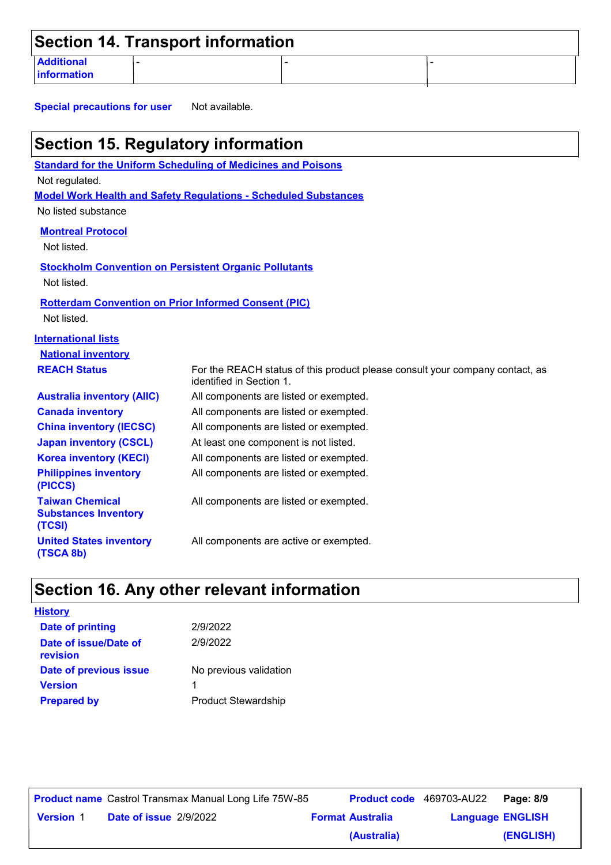|                                  | <b>Section 14. Transport information</b> |  |
|----------------------------------|------------------------------------------|--|
| <b>Additional</b><br>information |                                          |  |

**Special precautions for user** Not available.

| <b>Section 15. Regulatory information</b>                                  |                                                                                                          |  |  |  |
|----------------------------------------------------------------------------|----------------------------------------------------------------------------------------------------------|--|--|--|
|                                                                            | <b>Standard for the Uniform Scheduling of Medicines and Poisons</b>                                      |  |  |  |
| Not regulated.                                                             |                                                                                                          |  |  |  |
|                                                                            | <b>Model Work Health and Safety Regulations - Scheduled Substances</b>                                   |  |  |  |
| No listed substance                                                        |                                                                                                          |  |  |  |
| <b>Montreal Protocol</b>                                                   |                                                                                                          |  |  |  |
| Not listed.                                                                |                                                                                                          |  |  |  |
|                                                                            | <b>Stockholm Convention on Persistent Organic Pollutants</b>                                             |  |  |  |
| Not listed.                                                                |                                                                                                          |  |  |  |
|                                                                            |                                                                                                          |  |  |  |
| <b>Rotterdam Convention on Prior Informed Consent (PIC)</b><br>Not listed. |                                                                                                          |  |  |  |
|                                                                            |                                                                                                          |  |  |  |
| <b>International lists</b>                                                 |                                                                                                          |  |  |  |
| <b>National inventory</b>                                                  |                                                                                                          |  |  |  |
| <b>REACH Status</b>                                                        | For the REACH status of this product please consult your company contact, as<br>identified in Section 1. |  |  |  |
| <b>Australia inventory (AIIC)</b>                                          | All components are listed or exempted.                                                                   |  |  |  |
| <b>Canada inventory</b>                                                    | All components are listed or exempted.                                                                   |  |  |  |
| <b>China inventory (IECSC)</b>                                             | All components are listed or exempted.                                                                   |  |  |  |
| <b>Japan inventory (CSCL)</b>                                              | At least one component is not listed.                                                                    |  |  |  |
| <b>Korea inventory (KECI)</b>                                              | All components are listed or exempted.                                                                   |  |  |  |
| <b>Philippines inventory</b><br>(PICCS)                                    | All components are listed or exempted.                                                                   |  |  |  |
| <b>Taiwan Chemical</b><br><b>Substances Inventory</b><br>(TCSI)            | All components are listed or exempted.                                                                   |  |  |  |
| <b>United States inventory</b><br>(TSCA 8b)                                | All components are active or exempted.                                                                   |  |  |  |

## **Section 16. Any other relevant information**

| <b>History</b>                    |                            |
|-----------------------------------|----------------------------|
| <b>Date of printing</b>           | 2/9/2022                   |
| Date of issue/Date of<br>revision | 2/9/2022                   |
| Date of previous issue            | No previous validation     |
| <b>Version</b>                    | 1                          |
| <b>Prepared by</b>                | <b>Product Stewardship</b> |

|                  | <b>Product name</b> Castrol Transmax Manual Long Life 75W-85 |                         | <b>Product code</b> 469703-AU22 | Page: 8/9 |
|------------------|--------------------------------------------------------------|-------------------------|---------------------------------|-----------|
| <b>Version 1</b> | <b>Date of issue 2/9/2022</b>                                | <b>Format Australia</b> | <b>Language ENGLISH</b>         |           |
|                  |                                                              | (Australia)             |                                 | (ENGLISH) |